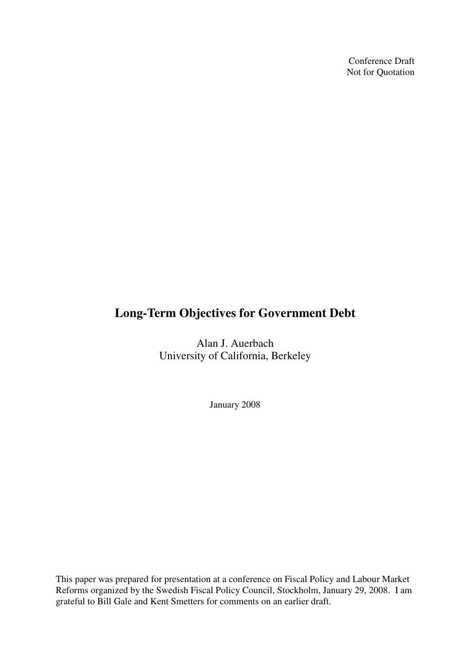Conference Draft Not for Quotation

# **Long-Term Objectives for Government Debt**

Alan J. Auerbach University of California, Berkeley

January 2008

This paper was prepared for presentation at a conference on Fiscal Policy and Labour Market Reforms organized by the Swedish Fiscal Policy Council, Stockholm, January 29, 2008. I am grateful to Bill Gale and Kent Smetters for comments on an earlier draft.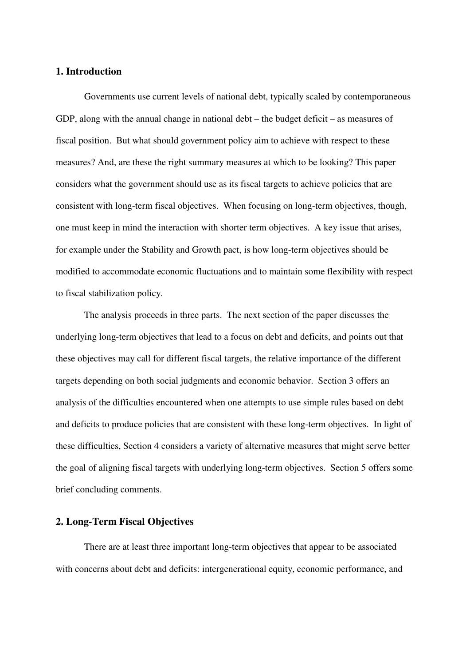## **1. Introduction**

 Governments use current levels of national debt, typically scaled by contemporaneous GDP, along with the annual change in national debt – the budget deficit – as measures of fiscal position. But what should government policy aim to achieve with respect to these measures? And, are these the right summary measures at which to be looking? This paper considers what the government should use as its fiscal targets to achieve policies that are consistent with long-term fiscal objectives. When focusing on long-term objectives, though, one must keep in mind the interaction with shorter term objectives. A key issue that arises, for example under the Stability and Growth pact, is how long-term objectives should be modified to accommodate economic fluctuations and to maintain some flexibility with respect to fiscal stabilization policy.

 The analysis proceeds in three parts. The next section of the paper discusses the underlying long-term objectives that lead to a focus on debt and deficits, and points out that these objectives may call for different fiscal targets, the relative importance of the different targets depending on both social judgments and economic behavior. Section 3 offers an analysis of the difficulties encountered when one attempts to use simple rules based on debt and deficits to produce policies that are consistent with these long-term objectives. In light of these difficulties, Section 4 considers a variety of alternative measures that might serve better the goal of aligning fiscal targets with underlying long-term objectives. Section 5 offers some brief concluding comments.

# **2. Long-Term Fiscal Objectives**

 There are at least three important long-term objectives that appear to be associated with concerns about debt and deficits: intergenerational equity, economic performance, and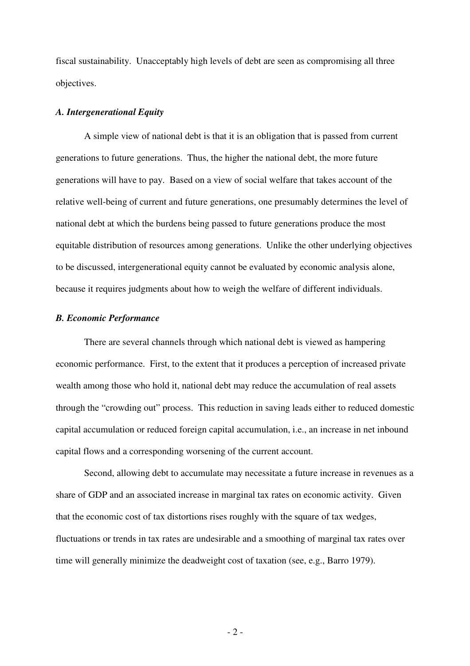fiscal sustainability. Unacceptably high levels of debt are seen as compromising all three objectives.

# *A. Intergenerational Equity*

 A simple view of national debt is that it is an obligation that is passed from current generations to future generations. Thus, the higher the national debt, the more future generations will have to pay. Based on a view of social welfare that takes account of the relative well-being of current and future generations, one presumably determines the level of national debt at which the burdens being passed to future generations produce the most equitable distribution of resources among generations. Unlike the other underlying objectives to be discussed, intergenerational equity cannot be evaluated by economic analysis alone, because it requires judgments about how to weigh the welfare of different individuals.

#### *B. Economic Performance*

 There are several channels through which national debt is viewed as hampering economic performance. First, to the extent that it produces a perception of increased private wealth among those who hold it, national debt may reduce the accumulation of real assets through the "crowding out" process. This reduction in saving leads either to reduced domestic capital accumulation or reduced foreign capital accumulation, i.e., an increase in net inbound capital flows and a corresponding worsening of the current account.

 Second, allowing debt to accumulate may necessitate a future increase in revenues as a share of GDP and an associated increase in marginal tax rates on economic activity. Given that the economic cost of tax distortions rises roughly with the square of tax wedges, fluctuations or trends in tax rates are undesirable and a smoothing of marginal tax rates over time will generally minimize the deadweight cost of taxation (see, e.g., Barro 1979).

 $-2-$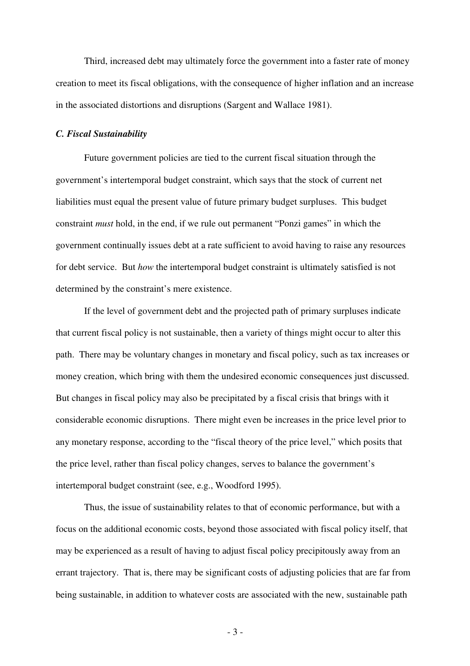Third, increased debt may ultimately force the government into a faster rate of money creation to meet its fiscal obligations, with the consequence of higher inflation and an increase in the associated distortions and disruptions (Sargent and Wallace 1981).

## *C. Fiscal Sustainability*

 Future government policies are tied to the current fiscal situation through the government's intertemporal budget constraint, which says that the stock of current net liabilities must equal the present value of future primary budget surpluses. This budget constraint *must* hold, in the end, if we rule out permanent "Ponzi games" in which the government continually issues debt at a rate sufficient to avoid having to raise any resources for debt service. But *how* the intertemporal budget constraint is ultimately satisfied is not determined by the constraint's mere existence.

 If the level of government debt and the projected path of primary surpluses indicate that current fiscal policy is not sustainable, then a variety of things might occur to alter this path. There may be voluntary changes in monetary and fiscal policy, such as tax increases or money creation, which bring with them the undesired economic consequences just discussed. But changes in fiscal policy may also be precipitated by a fiscal crisis that brings with it considerable economic disruptions. There might even be increases in the price level prior to any monetary response, according to the "fiscal theory of the price level," which posits that the price level, rather than fiscal policy changes, serves to balance the government's intertemporal budget constraint (see, e.g., Woodford 1995).

 Thus, the issue of sustainability relates to that of economic performance, but with a focus on the additional economic costs, beyond those associated with fiscal policy itself, that may be experienced as a result of having to adjust fiscal policy precipitously away from an errant trajectory. That is, there may be significant costs of adjusting policies that are far from being sustainable, in addition to whatever costs are associated with the new, sustainable path

- 3 -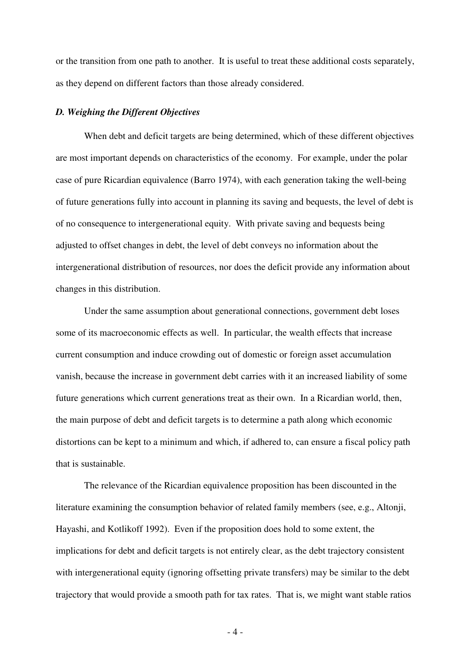or the transition from one path to another. It is useful to treat these additional costs separately, as they depend on different factors than those already considered.

## *D. Weighing the Different Objectives*

 When debt and deficit targets are being determined, which of these different objectives are most important depends on characteristics of the economy. For example, under the polar case of pure Ricardian equivalence (Barro 1974), with each generation taking the well-being of future generations fully into account in planning its saving and bequests, the level of debt is of no consequence to intergenerational equity. With private saving and bequests being adjusted to offset changes in debt, the level of debt conveys no information about the intergenerational distribution of resources, nor does the deficit provide any information about changes in this distribution.

 Under the same assumption about generational connections, government debt loses some of its macroeconomic effects as well. In particular, the wealth effects that increase current consumption and induce crowding out of domestic or foreign asset accumulation vanish, because the increase in government debt carries with it an increased liability of some future generations which current generations treat as their own. In a Ricardian world, then, the main purpose of debt and deficit targets is to determine a path along which economic distortions can be kept to a minimum and which, if adhered to, can ensure a fiscal policy path that is sustainable.

 The relevance of the Ricardian equivalence proposition has been discounted in the literature examining the consumption behavior of related family members (see, e.g., Altonji, Hayashi, and Kotlikoff 1992). Even if the proposition does hold to some extent, the implications for debt and deficit targets is not entirely clear, as the debt trajectory consistent with intergenerational equity (ignoring offsetting private transfers) may be similar to the debt trajectory that would provide a smooth path for tax rates. That is, we might want stable ratios

 $-4 -$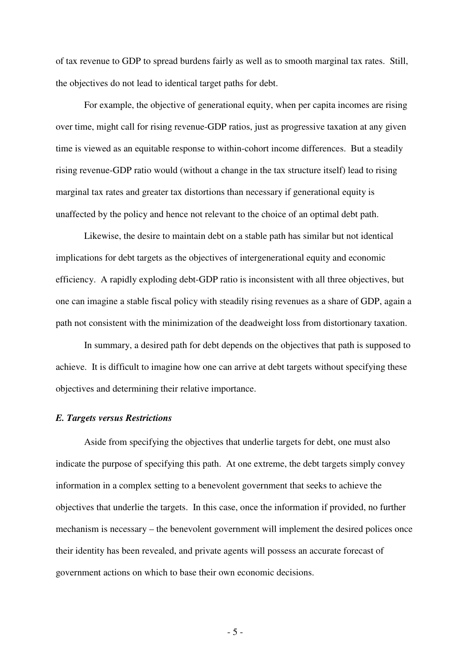of tax revenue to GDP to spread burdens fairly as well as to smooth marginal tax rates. Still, the objectives do not lead to identical target paths for debt.

 For example, the objective of generational equity, when per capita incomes are rising over time, might call for rising revenue-GDP ratios, just as progressive taxation at any given time is viewed as an equitable response to within-cohort income differences. But a steadily rising revenue-GDP ratio would (without a change in the tax structure itself) lead to rising marginal tax rates and greater tax distortions than necessary if generational equity is unaffected by the policy and hence not relevant to the choice of an optimal debt path.

 Likewise, the desire to maintain debt on a stable path has similar but not identical implications for debt targets as the objectives of intergenerational equity and economic efficiency. A rapidly exploding debt-GDP ratio is inconsistent with all three objectives, but one can imagine a stable fiscal policy with steadily rising revenues as a share of GDP, again a path not consistent with the minimization of the deadweight loss from distortionary taxation.

 In summary, a desired path for debt depends on the objectives that path is supposed to achieve. It is difficult to imagine how one can arrive at debt targets without specifying these objectives and determining their relative importance.

#### *E. Targets versus Restrictions*

 Aside from specifying the objectives that underlie targets for debt, one must also indicate the purpose of specifying this path. At one extreme, the debt targets simply convey information in a complex setting to a benevolent government that seeks to achieve the objectives that underlie the targets. In this case, once the information if provided, no further mechanism is necessary – the benevolent government will implement the desired polices once their identity has been revealed, and private agents will possess an accurate forecast of government actions on which to base their own economic decisions.

- 5 -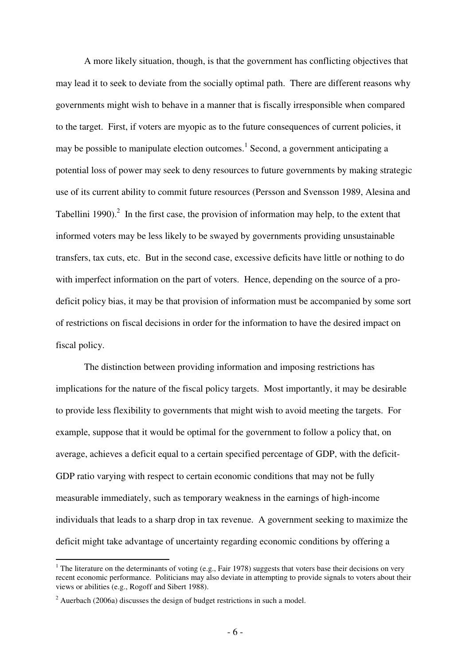A more likely situation, though, is that the government has conflicting objectives that may lead it to seek to deviate from the socially optimal path. There are different reasons why governments might wish to behave in a manner that is fiscally irresponsible when compared to the target. First, if voters are myopic as to the future consequences of current policies, it may be possible to manipulate election outcomes.<sup>1</sup> Second, a government anticipating a potential loss of power may seek to deny resources to future governments by making strategic use of its current ability to commit future resources (Persson and Svensson 1989, Alesina and Tabellini 1990).<sup>2</sup> In the first case, the provision of information may help, to the extent that informed voters may be less likely to be swayed by governments providing unsustainable transfers, tax cuts, etc. But in the second case, excessive deficits have little or nothing to do with imperfect information on the part of voters. Hence, depending on the source of a prodeficit policy bias, it may be that provision of information must be accompanied by some sort of restrictions on fiscal decisions in order for the information to have the desired impact on fiscal policy.

 The distinction between providing information and imposing restrictions has implications for the nature of the fiscal policy targets. Most importantly, it may be desirable to provide less flexibility to governments that might wish to avoid meeting the targets. For example, suppose that it would be optimal for the government to follow a policy that, on average, achieves a deficit equal to a certain specified percentage of GDP, with the deficit-GDP ratio varying with respect to certain economic conditions that may not be fully measurable immediately, such as temporary weakness in the earnings of high-income individuals that leads to a sharp drop in tax revenue. A government seeking to maximize the deficit might take advantage of uncertainty regarding economic conditions by offering a

<sup>&</sup>lt;sup>1</sup> The literature on the determinants of voting (e.g., Fair 1978) suggests that voters base their decisions on very recent economic performance. Politicians may also deviate in attempting to provide signals to voters about their views or abilities (e.g., Rogoff and Sibert 1988).

 $2^{2}$  Auerbach (2006a) discusses the design of budget restrictions in such a model.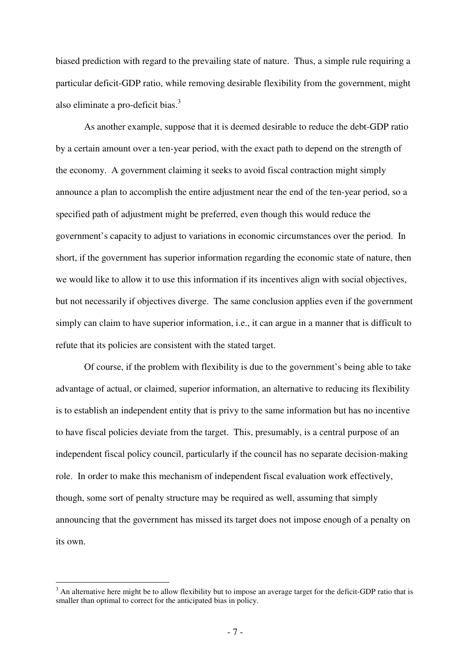biased prediction with regard to the prevailing state of nature. Thus, a simple rule requiring a particular deficit-GDP ratio, while removing desirable flexibility from the government, might also eliminate a pro-deficit bias. $3<sup>3</sup>$ 

 As another example, suppose that it is deemed desirable to reduce the debt-GDP ratio by a certain amount over a ten-year period, with the exact path to depend on the strength of the economy. A government claiming it seeks to avoid fiscal contraction might simply announce a plan to accomplish the entire adjustment near the end of the ten-year period, so a specified path of adjustment might be preferred, even though this would reduce the government's capacity to adjust to variations in economic circumstances over the period. In short, if the government has superior information regarding the economic state of nature, then we would like to allow it to use this information if its incentives align with social objectives, but not necessarily if objectives diverge. The same conclusion applies even if the government simply can claim to have superior information, i.e., it can argue in a manner that is difficult to refute that its policies are consistent with the stated target.

 Of course, if the problem with flexibility is due to the government's being able to take advantage of actual, or claimed, superior information, an alternative to reducing its flexibility is to establish an independent entity that is privy to the same information but has no incentive to have fiscal policies deviate from the target. This, presumably, is a central purpose of an independent fiscal policy council, particularly if the council has no separate decision-making role. In order to make this mechanism of independent fiscal evaluation work effectively, though, some sort of penalty structure may be required as well, assuming that simply announcing that the government has missed its target does not impose enough of a penalty on its own.

 $3$  An alternative here might be to allow flexibility but to impose an average target for the deficit-GDP ratio that is smaller than optimal to correct for the anticipated bias in policy.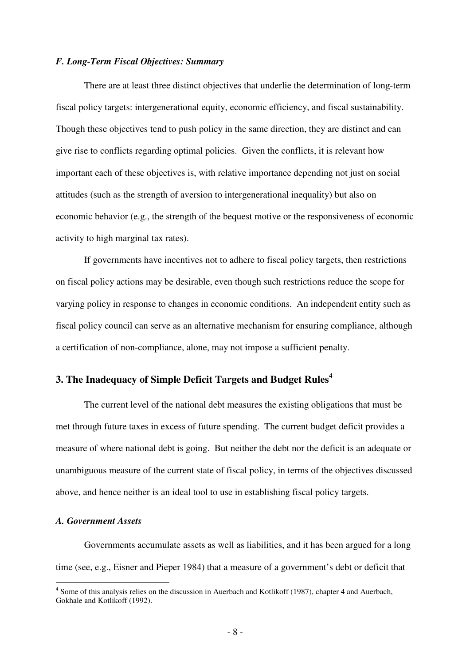## *F. Long-Term Fiscal Objectives: Summary*

 There are at least three distinct objectives that underlie the determination of long-term fiscal policy targets: intergenerational equity, economic efficiency, and fiscal sustainability. Though these objectives tend to push policy in the same direction, they are distinct and can give rise to conflicts regarding optimal policies. Given the conflicts, it is relevant how important each of these objectives is, with relative importance depending not just on social attitudes (such as the strength of aversion to intergenerational inequality) but also on economic behavior (e.g., the strength of the bequest motive or the responsiveness of economic activity to high marginal tax rates).

 If governments have incentives not to adhere to fiscal policy targets, then restrictions on fiscal policy actions may be desirable, even though such restrictions reduce the scope for varying policy in response to changes in economic conditions. An independent entity such as fiscal policy council can serve as an alternative mechanism for ensuring compliance, although a certification of non-compliance, alone, may not impose a sufficient penalty.

# **3. The Inadequacy of Simple Deficit Targets and Budget Rules<sup>4</sup>**

 The current level of the national debt measures the existing obligations that must be met through future taxes in excess of future spending. The current budget deficit provides a measure of where national debt is going. But neither the debt nor the deficit is an adequate or unambiguous measure of the current state of fiscal policy, in terms of the objectives discussed above, and hence neither is an ideal tool to use in establishing fiscal policy targets.

#### *A. Government Assets*

 $\overline{a}$ 

 Governments accumulate assets as well as liabilities, and it has been argued for a long time (see, e.g., Eisner and Pieper 1984) that a measure of a government's debt or deficit that

<sup>&</sup>lt;sup>4</sup> Some of this analysis relies on the discussion in Auerbach and Kotlikoff (1987), chapter 4 and Auerbach, Gokhale and Kotlikoff (1992).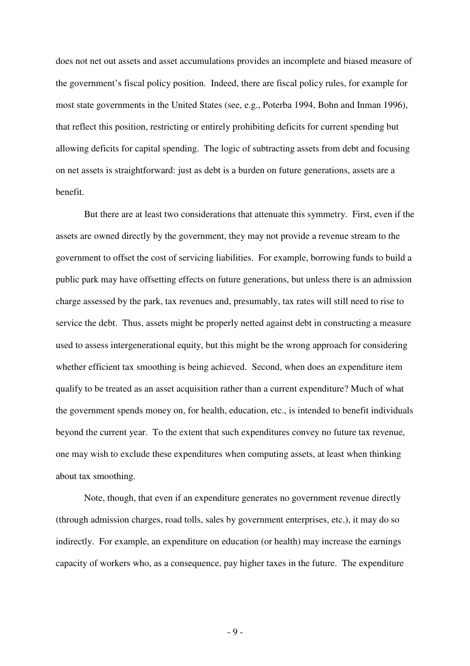does not net out assets and asset accumulations provides an incomplete and biased measure of the government's fiscal policy position. Indeed, there are fiscal policy rules, for example for most state governments in the United States (see, e.g., Poterba 1994, Bohn and Inman 1996), that reflect this position, restricting or entirely prohibiting deficits for current spending but allowing deficits for capital spending. The logic of subtracting assets from debt and focusing on net assets is straightforward: just as debt is a burden on future generations, assets are a benefit.

 But there are at least two considerations that attenuate this symmetry. First, even if the assets are owned directly by the government, they may not provide a revenue stream to the government to offset the cost of servicing liabilities. For example, borrowing funds to build a public park may have offsetting effects on future generations, but unless there is an admission charge assessed by the park, tax revenues and, presumably, tax rates will still need to rise to service the debt. Thus, assets might be properly netted against debt in constructing a measure used to assess intergenerational equity, but this might be the wrong approach for considering whether efficient tax smoothing is being achieved. Second, when does an expenditure item qualify to be treated as an asset acquisition rather than a current expenditure? Much of what the government spends money on, for health, education, etc., is intended to benefit individuals beyond the current year. To the extent that such expenditures convey no future tax revenue, one may wish to exclude these expenditures when computing assets, at least when thinking about tax smoothing.

 Note, though, that even if an expenditure generates no government revenue directly (through admission charges, road tolls, sales by government enterprises, etc.), it may do so indirectly. For example, an expenditure on education (or health) may increase the earnings capacity of workers who, as a consequence, pay higher taxes in the future. The expenditure

- 9 -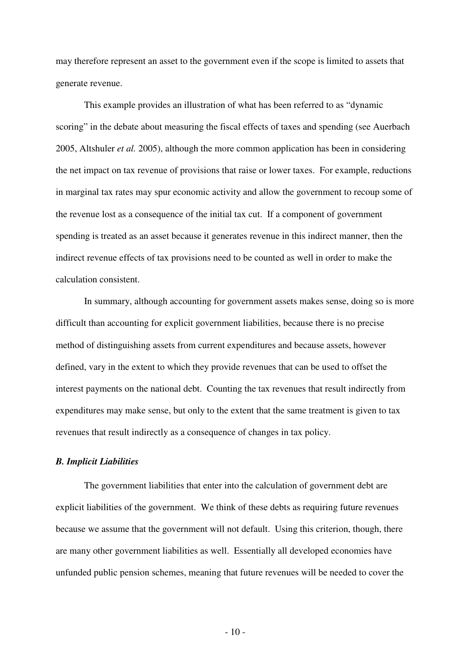may therefore represent an asset to the government even if the scope is limited to assets that generate revenue.

 This example provides an illustration of what has been referred to as "dynamic scoring" in the debate about measuring the fiscal effects of taxes and spending (see Auerbach 2005, Altshuler *et al.* 2005), although the more common application has been in considering the net impact on tax revenue of provisions that raise or lower taxes. For example, reductions in marginal tax rates may spur economic activity and allow the government to recoup some of the revenue lost as a consequence of the initial tax cut. If a component of government spending is treated as an asset because it generates revenue in this indirect manner, then the indirect revenue effects of tax provisions need to be counted as well in order to make the calculation consistent.

 In summary, although accounting for government assets makes sense, doing so is more difficult than accounting for explicit government liabilities, because there is no precise method of distinguishing assets from current expenditures and because assets, however defined, vary in the extent to which they provide revenues that can be used to offset the interest payments on the national debt. Counting the tax revenues that result indirectly from expenditures may make sense, but only to the extent that the same treatment is given to tax revenues that result indirectly as a consequence of changes in tax policy.

## *B. Implicit Liabilities*

 The government liabilities that enter into the calculation of government debt are explicit liabilities of the government. We think of these debts as requiring future revenues because we assume that the government will not default. Using this criterion, though, there are many other government liabilities as well. Essentially all developed economies have unfunded public pension schemes, meaning that future revenues will be needed to cover the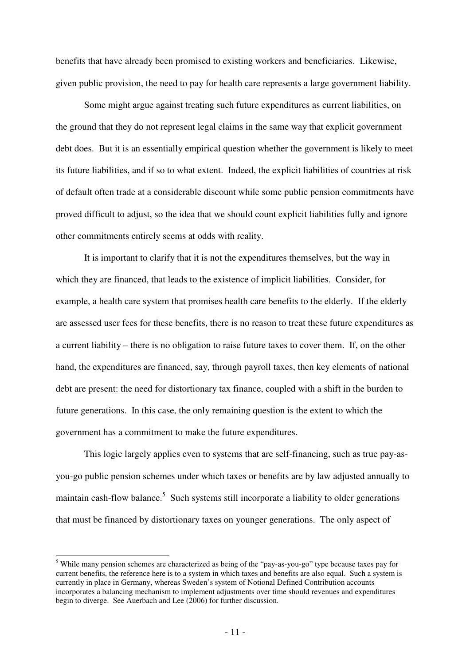benefits that have already been promised to existing workers and beneficiaries. Likewise, given public provision, the need to pay for health care represents a large government liability.

 Some might argue against treating such future expenditures as current liabilities, on the ground that they do not represent legal claims in the same way that explicit government debt does. But it is an essentially empirical question whether the government is likely to meet its future liabilities, and if so to what extent. Indeed, the explicit liabilities of countries at risk of default often trade at a considerable discount while some public pension commitments have proved difficult to adjust, so the idea that we should count explicit liabilities fully and ignore other commitments entirely seems at odds with reality.

 It is important to clarify that it is not the expenditures themselves, but the way in which they are financed, that leads to the existence of implicit liabilities. Consider, for example, a health care system that promises health care benefits to the elderly. If the elderly are assessed user fees for these benefits, there is no reason to treat these future expenditures as a current liability – there is no obligation to raise future taxes to cover them. If, on the other hand, the expenditures are financed, say, through payroll taxes, then key elements of national debt are present: the need for distortionary tax finance, coupled with a shift in the burden to future generations. In this case, the only remaining question is the extent to which the government has a commitment to make the future expenditures.

 This logic largely applies even to systems that are self-financing, such as true pay-asyou-go public pension schemes under which taxes or benefits are by law adjusted annually to maintain cash-flow balance.<sup>5</sup> Such systems still incorporate a liability to older generations that must be financed by distortionary taxes on younger generations. The only aspect of

<sup>&</sup>lt;sup>5</sup> While many pension schemes are characterized as being of the "pay-as-you-go" type because taxes pay for current benefits, the reference here is to a system in which taxes and benefits are also equal. Such a system is currently in place in Germany, whereas Sweden's system of Notional Defined Contribution accounts incorporates a balancing mechanism to implement adjustments over time should revenues and expenditures begin to diverge. See Auerbach and Lee (2006) for further discussion.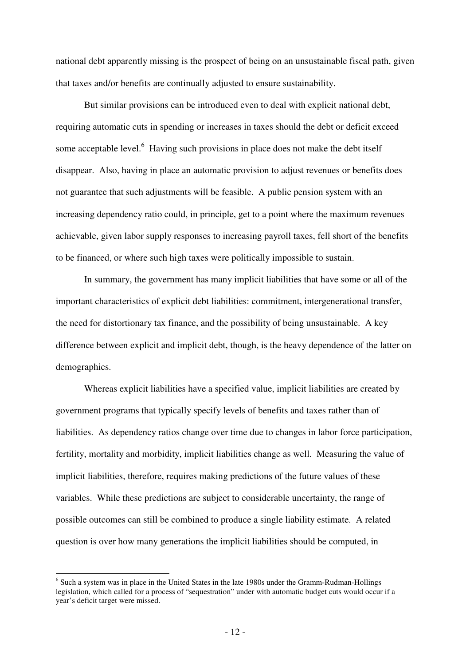national debt apparently missing is the prospect of being on an unsustainable fiscal path, given that taxes and/or benefits are continually adjusted to ensure sustainability.

 But similar provisions can be introduced even to deal with explicit national debt, requiring automatic cuts in spending or increases in taxes should the debt or deficit exceed some acceptable level.<sup>6</sup> Having such provisions in place does not make the debt itself disappear. Also, having in place an automatic provision to adjust revenues or benefits does not guarantee that such adjustments will be feasible. A public pension system with an increasing dependency ratio could, in principle, get to a point where the maximum revenues achievable, given labor supply responses to increasing payroll taxes, fell short of the benefits to be financed, or where such high taxes were politically impossible to sustain.

 In summary, the government has many implicit liabilities that have some or all of the important characteristics of explicit debt liabilities: commitment, intergenerational transfer, the need for distortionary tax finance, and the possibility of being unsustainable. A key difference between explicit and implicit debt, though, is the heavy dependence of the latter on demographics.

 Whereas explicit liabilities have a specified value, implicit liabilities are created by government programs that typically specify levels of benefits and taxes rather than of liabilities. As dependency ratios change over time due to changes in labor force participation, fertility, mortality and morbidity, implicit liabilities change as well. Measuring the value of implicit liabilities, therefore, requires making predictions of the future values of these variables. While these predictions are subject to considerable uncertainty, the range of possible outcomes can still be combined to produce a single liability estimate. A related question is over how many generations the implicit liabilities should be computed, in

<sup>&</sup>lt;sup>6</sup> Such a system was in place in the United States in the late 1980s under the Gramm-Rudman-Hollings legislation, which called for a process of "sequestration" under with automatic budget cuts would occur if a year's deficit target were missed.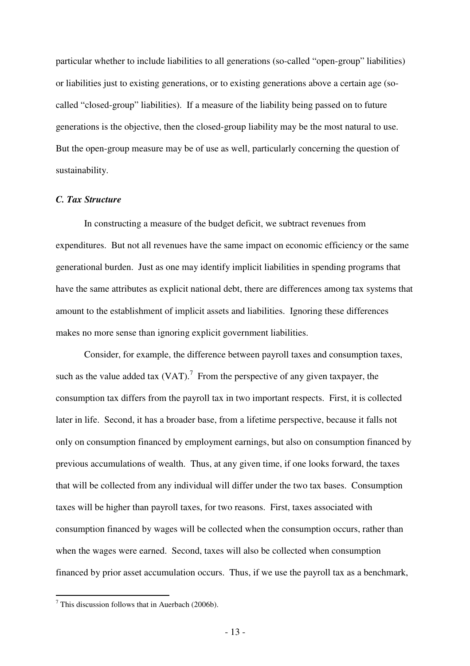particular whether to include liabilities to all generations (so-called "open-group" liabilities) or liabilities just to existing generations, or to existing generations above a certain age (socalled "closed-group" liabilities). If a measure of the liability being passed on to future generations is the objective, then the closed-group liability may be the most natural to use. But the open-group measure may be of use as well, particularly concerning the question of sustainability.

## *C. Tax Structure*

 In constructing a measure of the budget deficit, we subtract revenues from expenditures. But not all revenues have the same impact on economic efficiency or the same generational burden. Just as one may identify implicit liabilities in spending programs that have the same attributes as explicit national debt, there are differences among tax systems that amount to the establishment of implicit assets and liabilities. Ignoring these differences makes no more sense than ignoring explicit government liabilities.

 Consider, for example, the difference between payroll taxes and consumption taxes, such as the value added tax  $(VAT)$ .<sup>7</sup> From the perspective of any given taxpayer, the consumption tax differs from the payroll tax in two important respects. First, it is collected later in life. Second, it has a broader base, from a lifetime perspective, because it falls not only on consumption financed by employment earnings, but also on consumption financed by previous accumulations of wealth. Thus, at any given time, if one looks forward, the taxes that will be collected from any individual will differ under the two tax bases. Consumption taxes will be higher than payroll taxes, for two reasons. First, taxes associated with consumption financed by wages will be collected when the consumption occurs, rather than when the wages were earned. Second, taxes will also be collected when consumption financed by prior asset accumulation occurs. Thus, if we use the payroll tax as a benchmark,

 7 This discussion follows that in Auerbach (2006b).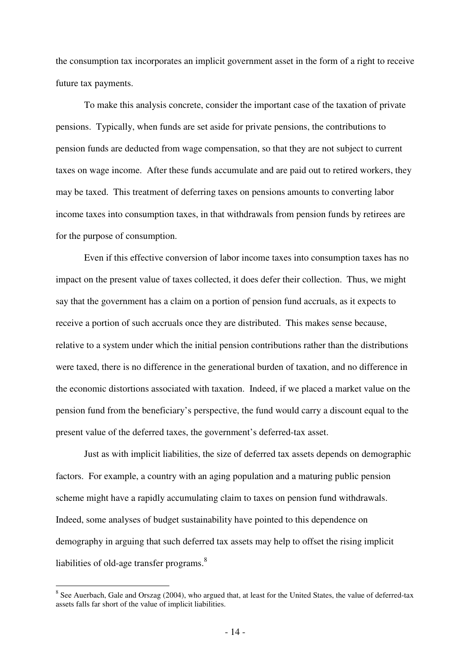the consumption tax incorporates an implicit government asset in the form of a right to receive future tax payments.

 To make this analysis concrete, consider the important case of the taxation of private pensions. Typically, when funds are set aside for private pensions, the contributions to pension funds are deducted from wage compensation, so that they are not subject to current taxes on wage income. After these funds accumulate and are paid out to retired workers, they may be taxed. This treatment of deferring taxes on pensions amounts to converting labor income taxes into consumption taxes, in that withdrawals from pension funds by retirees are for the purpose of consumption.

 Even if this effective conversion of labor income taxes into consumption taxes has no impact on the present value of taxes collected, it does defer their collection. Thus, we might say that the government has a claim on a portion of pension fund accruals, as it expects to receive a portion of such accruals once they are distributed. This makes sense because, relative to a system under which the initial pension contributions rather than the distributions were taxed, there is no difference in the generational burden of taxation, and no difference in the economic distortions associated with taxation. Indeed, if we placed a market value on the pension fund from the beneficiary's perspective, the fund would carry a discount equal to the present value of the deferred taxes, the government's deferred-tax asset.

 Just as with implicit liabilities, the size of deferred tax assets depends on demographic factors. For example, a country with an aging population and a maturing public pension scheme might have a rapidly accumulating claim to taxes on pension fund withdrawals. Indeed, some analyses of budget sustainability have pointed to this dependence on demography in arguing that such deferred tax assets may help to offset the rising implicit liabilities of old-age transfer programs.<sup>8</sup>

<sup>&</sup>lt;sup>8</sup> See Auerbach, Gale and Orszag (2004), who argued that, at least for the United States, the value of deferred-tax assets falls far short of the value of implicit liabilities.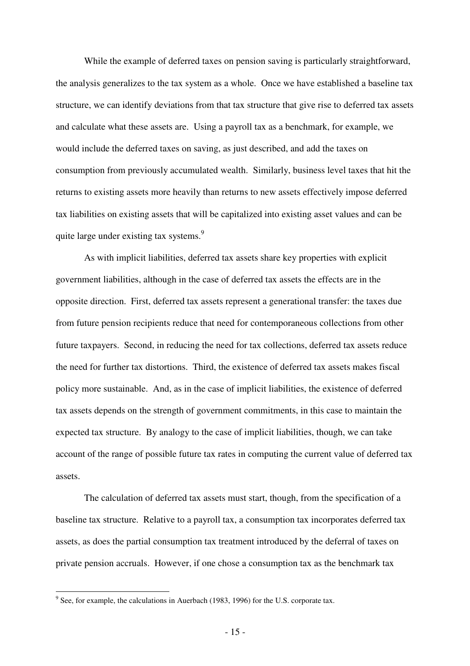While the example of deferred taxes on pension saving is particularly straightforward, the analysis generalizes to the tax system as a whole. Once we have established a baseline tax structure, we can identify deviations from that tax structure that give rise to deferred tax assets and calculate what these assets are. Using a payroll tax as a benchmark, for example, we would include the deferred taxes on saving, as just described, and add the taxes on consumption from previously accumulated wealth. Similarly, business level taxes that hit the returns to existing assets more heavily than returns to new assets effectively impose deferred tax liabilities on existing assets that will be capitalized into existing asset values and can be quite large under existing tax systems.<sup>9</sup>

 As with implicit liabilities, deferred tax assets share key properties with explicit government liabilities, although in the case of deferred tax assets the effects are in the opposite direction. First, deferred tax assets represent a generational transfer: the taxes due from future pension recipients reduce that need for contemporaneous collections from other future taxpayers. Second, in reducing the need for tax collections, deferred tax assets reduce the need for further tax distortions. Third, the existence of deferred tax assets makes fiscal policy more sustainable. And, as in the case of implicit liabilities, the existence of deferred tax assets depends on the strength of government commitments, in this case to maintain the expected tax structure. By analogy to the case of implicit liabilities, though, we can take account of the range of possible future tax rates in computing the current value of deferred tax assets.

 The calculation of deferred tax assets must start, though, from the specification of a baseline tax structure. Relative to a payroll tax, a consumption tax incorporates deferred tax assets, as does the partial consumption tax treatment introduced by the deferral of taxes on private pension accruals. However, if one chose a consumption tax as the benchmark tax

 $9^9$  See, for example, the calculations in Auerbach (1983, 1996) for the U.S. corporate tax.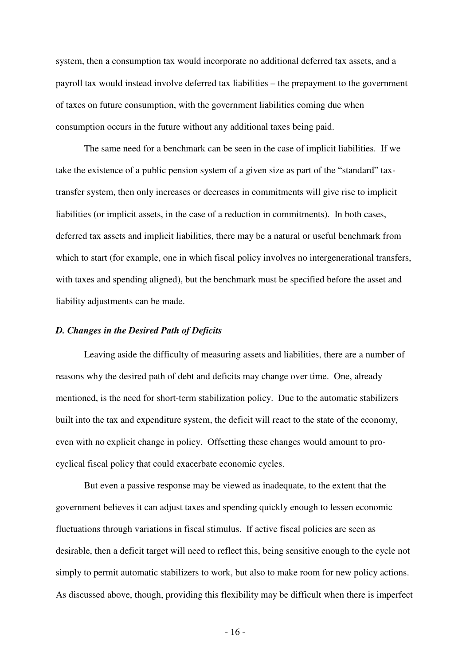system, then a consumption tax would incorporate no additional deferred tax assets, and a payroll tax would instead involve deferred tax liabilities – the prepayment to the government of taxes on future consumption, with the government liabilities coming due when consumption occurs in the future without any additional taxes being paid.

 The same need for a benchmark can be seen in the case of implicit liabilities. If we take the existence of a public pension system of a given size as part of the "standard" taxtransfer system, then only increases or decreases in commitments will give rise to implicit liabilities (or implicit assets, in the case of a reduction in commitments). In both cases, deferred tax assets and implicit liabilities, there may be a natural or useful benchmark from which to start (for example, one in which fiscal policy involves no intergenerational transfers, with taxes and spending aligned), but the benchmark must be specified before the asset and liability adjustments can be made.

### *D. Changes in the Desired Path of Deficits*

 Leaving aside the difficulty of measuring assets and liabilities, there are a number of reasons why the desired path of debt and deficits may change over time. One, already mentioned, is the need for short-term stabilization policy. Due to the automatic stabilizers built into the tax and expenditure system, the deficit will react to the state of the economy, even with no explicit change in policy. Offsetting these changes would amount to procyclical fiscal policy that could exacerbate economic cycles.

 But even a passive response may be viewed as inadequate, to the extent that the government believes it can adjust taxes and spending quickly enough to lessen economic fluctuations through variations in fiscal stimulus. If active fiscal policies are seen as desirable, then a deficit target will need to reflect this, being sensitive enough to the cycle not simply to permit automatic stabilizers to work, but also to make room for new policy actions. As discussed above, though, providing this flexibility may be difficult when there is imperfect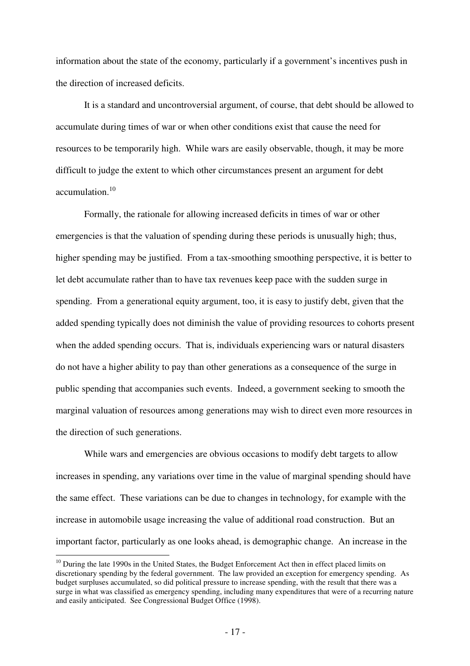information about the state of the economy, particularly if a government's incentives push in the direction of increased deficits.

 It is a standard and uncontroversial argument, of course, that debt should be allowed to accumulate during times of war or when other conditions exist that cause the need for resources to be temporarily high. While wars are easily observable, though, it may be more difficult to judge the extent to which other circumstances present an argument for debt accumulation $10$ 

 Formally, the rationale for allowing increased deficits in times of war or other emergencies is that the valuation of spending during these periods is unusually high; thus, higher spending may be justified. From a tax-smoothing smoothing perspective, it is better to let debt accumulate rather than to have tax revenues keep pace with the sudden surge in spending. From a generational equity argument, too, it is easy to justify debt, given that the added spending typically does not diminish the value of providing resources to cohorts present when the added spending occurs. That is, individuals experiencing wars or natural disasters do not have a higher ability to pay than other generations as a consequence of the surge in public spending that accompanies such events. Indeed, a government seeking to smooth the marginal valuation of resources among generations may wish to direct even more resources in the direction of such generations.

While wars and emergencies are obvious occasions to modify debt targets to allow increases in spending, any variations over time in the value of marginal spending should have the same effect. These variations can be due to changes in technology, for example with the increase in automobile usage increasing the value of additional road construction. But an important factor, particularly as one looks ahead, is demographic change. An increase in the

 $10$  During the late 1990s in the United States, the Budget Enforcement Act then in effect placed limits on discretionary spending by the federal government. The law provided an exception for emergency spending. As budget surpluses accumulated, so did political pressure to increase spending, with the result that there was a surge in what was classified as emergency spending, including many expenditures that were of a recurring nature and easily anticipated. See Congressional Budget Office (1998).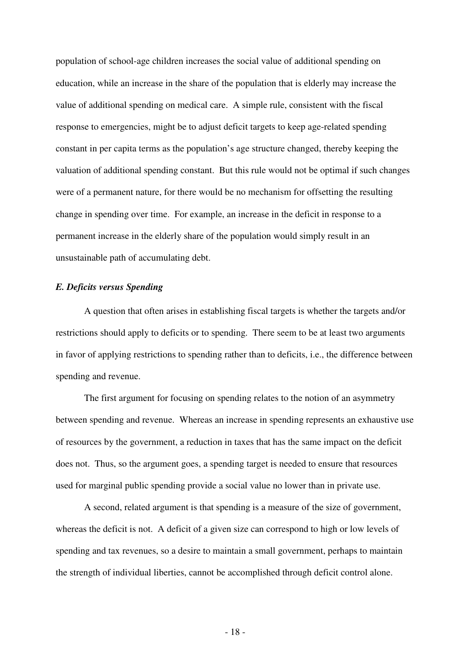population of school-age children increases the social value of additional spending on education, while an increase in the share of the population that is elderly may increase the value of additional spending on medical care. A simple rule, consistent with the fiscal response to emergencies, might be to adjust deficit targets to keep age-related spending constant in per capita terms as the population's age structure changed, thereby keeping the valuation of additional spending constant. But this rule would not be optimal if such changes were of a permanent nature, for there would be no mechanism for offsetting the resulting change in spending over time. For example, an increase in the deficit in response to a permanent increase in the elderly share of the population would simply result in an unsustainable path of accumulating debt.

### *E. Deficits versus Spending*

 A question that often arises in establishing fiscal targets is whether the targets and/or restrictions should apply to deficits or to spending. There seem to be at least two arguments in favor of applying restrictions to spending rather than to deficits, i.e., the difference between spending and revenue.

 The first argument for focusing on spending relates to the notion of an asymmetry between spending and revenue. Whereas an increase in spending represents an exhaustive use of resources by the government, a reduction in taxes that has the same impact on the deficit does not. Thus, so the argument goes, a spending target is needed to ensure that resources used for marginal public spending provide a social value no lower than in private use.

 A second, related argument is that spending is a measure of the size of government, whereas the deficit is not. A deficit of a given size can correspond to high or low levels of spending and tax revenues, so a desire to maintain a small government, perhaps to maintain the strength of individual liberties, cannot be accomplished through deficit control alone.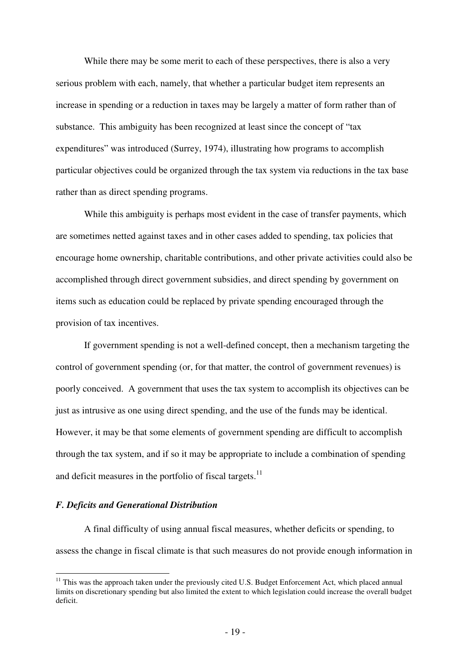While there may be some merit to each of these perspectives, there is also a very serious problem with each, namely, that whether a particular budget item represents an increase in spending or a reduction in taxes may be largely a matter of form rather than of substance. This ambiguity has been recognized at least since the concept of "tax expenditures" was introduced (Surrey, 1974), illustrating how programs to accomplish particular objectives could be organized through the tax system via reductions in the tax base rather than as direct spending programs.

 While this ambiguity is perhaps most evident in the case of transfer payments, which are sometimes netted against taxes and in other cases added to spending, tax policies that encourage home ownership, charitable contributions, and other private activities could also be accomplished through direct government subsidies, and direct spending by government on items such as education could be replaced by private spending encouraged through the provision of tax incentives.

 If government spending is not a well-defined concept, then a mechanism targeting the control of government spending (or, for that matter, the control of government revenues) is poorly conceived. A government that uses the tax system to accomplish its objectives can be just as intrusive as one using direct spending, and the use of the funds may be identical. However, it may be that some elements of government spending are difficult to accomplish through the tax system, and if so it may be appropriate to include a combination of spending and deficit measures in the portfolio of fiscal targets. $11$ 

#### *F. Deficits and Generational Distribution*

 $\overline{a}$ 

 A final difficulty of using annual fiscal measures, whether deficits or spending, to assess the change in fiscal climate is that such measures do not provide enough information in

 $11$  This was the approach taken under the previously cited U.S. Budget Enforcement Act, which placed annual limits on discretionary spending but also limited the extent to which legislation could increase the overall budget deficit.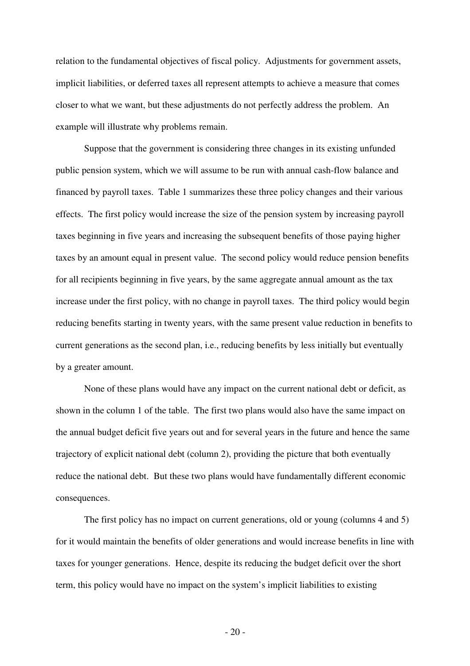relation to the fundamental objectives of fiscal policy. Adjustments for government assets, implicit liabilities, or deferred taxes all represent attempts to achieve a measure that comes closer to what we want, but these adjustments do not perfectly address the problem. An example will illustrate why problems remain.

 Suppose that the government is considering three changes in its existing unfunded public pension system, which we will assume to be run with annual cash-flow balance and financed by payroll taxes. Table 1 summarizes these three policy changes and their various effects. The first policy would increase the size of the pension system by increasing payroll taxes beginning in five years and increasing the subsequent benefits of those paying higher taxes by an amount equal in present value. The second policy would reduce pension benefits for all recipients beginning in five years, by the same aggregate annual amount as the tax increase under the first policy, with no change in payroll taxes. The third policy would begin reducing benefits starting in twenty years, with the same present value reduction in benefits to current generations as the second plan, i.e., reducing benefits by less initially but eventually by a greater amount.

 None of these plans would have any impact on the current national debt or deficit, as shown in the column 1 of the table. The first two plans would also have the same impact on the annual budget deficit five years out and for several years in the future and hence the same trajectory of explicit national debt (column 2), providing the picture that both eventually reduce the national debt. But these two plans would have fundamentally different economic consequences.

 The first policy has no impact on current generations, old or young (columns 4 and 5) for it would maintain the benefits of older generations and would increase benefits in line with taxes for younger generations. Hence, despite its reducing the budget deficit over the short term, this policy would have no impact on the system's implicit liabilities to existing

- 20 -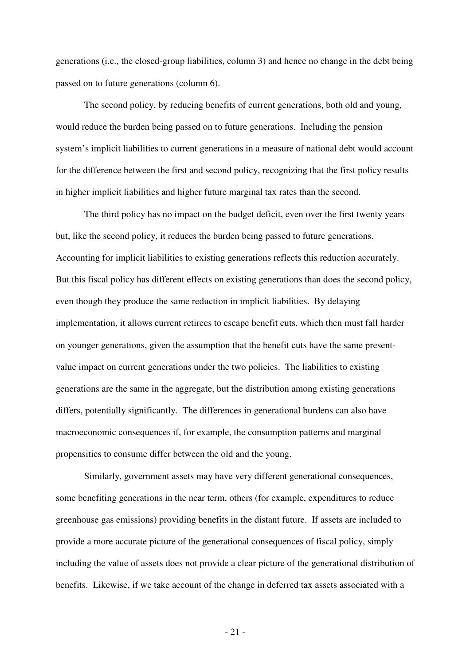generations (i.e., the closed-group liabilities, column 3) and hence no change in the debt being passed on to future generations (column 6).

 The second policy, by reducing benefits of current generations, both old and young, would reduce the burden being passed on to future generations. Including the pension system's implicit liabilities to current generations in a measure of national debt would account for the difference between the first and second policy, recognizing that the first policy results in higher implicit liabilities and higher future marginal tax rates than the second.

 The third policy has no impact on the budget deficit, even over the first twenty years but, like the second policy, it reduces the burden being passed to future generations. Accounting for implicit liabilities to existing generations reflects this reduction accurately. But this fiscal policy has different effects on existing generations than does the second policy, even though they produce the same reduction in implicit liabilities. By delaying implementation, it allows current retirees to escape benefit cuts, which then must fall harder on younger generations, given the assumption that the benefit cuts have the same presentvalue impact on current generations under the two policies. The liabilities to existing generations are the same in the aggregate, but the distribution among existing generations differs, potentially significantly. The differences in generational burdens can also have macroeconomic consequences if, for example, the consumption patterns and marginal propensities to consume differ between the old and the young.

 Similarly, government assets may have very different generational consequences, some benefiting generations in the near term, others (for example, expenditures to reduce greenhouse gas emissions) providing benefits in the distant future. If assets are included to provide a more accurate picture of the generational consequences of fiscal policy, simply including the value of assets does not provide a clear picture of the generational distribution of benefits. Likewise, if we take account of the change in deferred tax assets associated with a

- 21 -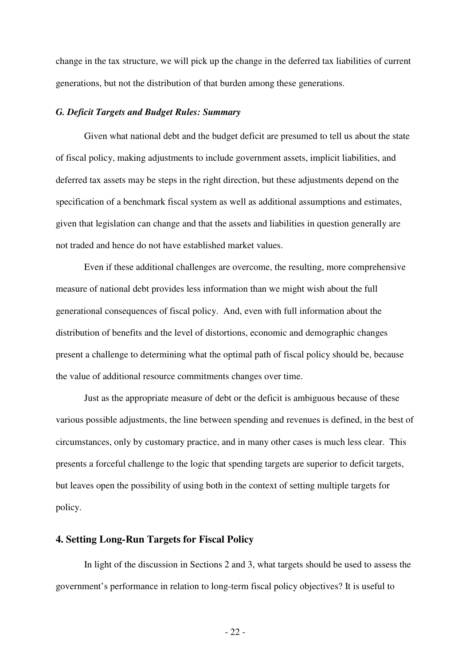change in the tax structure, we will pick up the change in the deferred tax liabilities of current generations, but not the distribution of that burden among these generations.

#### *G. Deficit Targets and Budget Rules: Summary*

 Given what national debt and the budget deficit are presumed to tell us about the state of fiscal policy, making adjustments to include government assets, implicit liabilities, and deferred tax assets may be steps in the right direction, but these adjustments depend on the specification of a benchmark fiscal system as well as additional assumptions and estimates, given that legislation can change and that the assets and liabilities in question generally are not traded and hence do not have established market values.

 Even if these additional challenges are overcome, the resulting, more comprehensive measure of national debt provides less information than we might wish about the full generational consequences of fiscal policy. And, even with full information about the distribution of benefits and the level of distortions, economic and demographic changes present a challenge to determining what the optimal path of fiscal policy should be, because the value of additional resource commitments changes over time.

 Just as the appropriate measure of debt or the deficit is ambiguous because of these various possible adjustments, the line between spending and revenues is defined, in the best of circumstances, only by customary practice, and in many other cases is much less clear. This presents a forceful challenge to the logic that spending targets are superior to deficit targets, but leaves open the possibility of using both in the context of setting multiple targets for policy.

# **4. Setting Long-Run Targets for Fiscal Policy**

 In light of the discussion in Sections 2 and 3, what targets should be used to assess the government's performance in relation to long-term fiscal policy objectives? It is useful to

- 22 -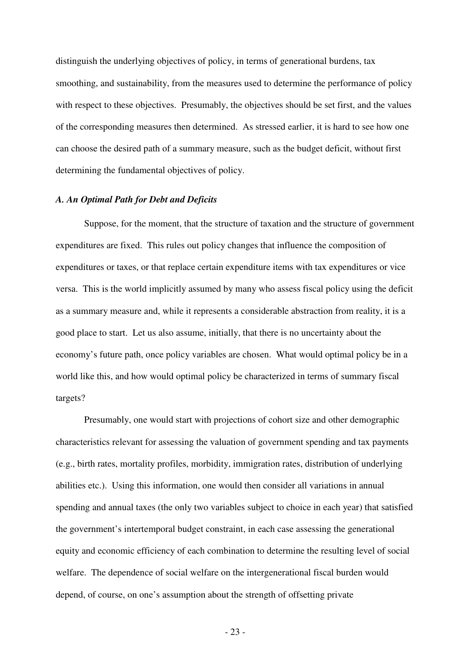distinguish the underlying objectives of policy, in terms of generational burdens, tax smoothing, and sustainability, from the measures used to determine the performance of policy with respect to these objectives. Presumably, the objectives should be set first, and the values of the corresponding measures then determined. As stressed earlier, it is hard to see how one can choose the desired path of a summary measure, such as the budget deficit, without first determining the fundamental objectives of policy.

## *A. An Optimal Path for Debt and Deficits*

 Suppose, for the moment, that the structure of taxation and the structure of government expenditures are fixed. This rules out policy changes that influence the composition of expenditures or taxes, or that replace certain expenditure items with tax expenditures or vice versa. This is the world implicitly assumed by many who assess fiscal policy using the deficit as a summary measure and, while it represents a considerable abstraction from reality, it is a good place to start. Let us also assume, initially, that there is no uncertainty about the economy's future path, once policy variables are chosen. What would optimal policy be in a world like this, and how would optimal policy be characterized in terms of summary fiscal targets?

 Presumably, one would start with projections of cohort size and other demographic characteristics relevant for assessing the valuation of government spending and tax payments (e.g., birth rates, mortality profiles, morbidity, immigration rates, distribution of underlying abilities etc.). Using this information, one would then consider all variations in annual spending and annual taxes (the only two variables subject to choice in each year) that satisfied the government's intertemporal budget constraint, in each case assessing the generational equity and economic efficiency of each combination to determine the resulting level of social welfare. The dependence of social welfare on the intergenerational fiscal burden would depend, of course, on one's assumption about the strength of offsetting private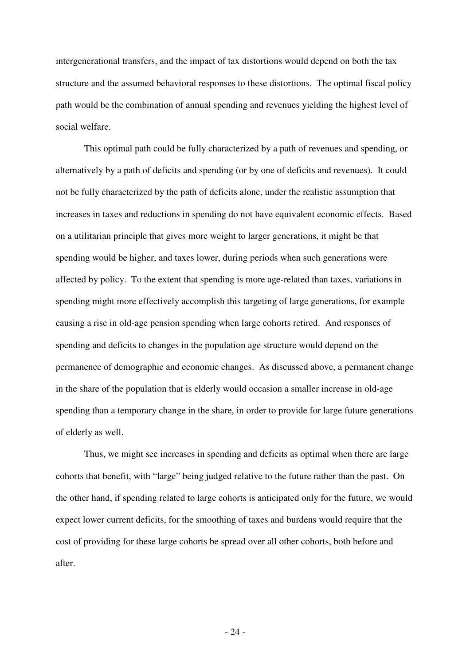intergenerational transfers, and the impact of tax distortions would depend on both the tax structure and the assumed behavioral responses to these distortions. The optimal fiscal policy path would be the combination of annual spending and revenues yielding the highest level of social welfare.

 This optimal path could be fully characterized by a path of revenues and spending, or alternatively by a path of deficits and spending (or by one of deficits and revenues). It could not be fully characterized by the path of deficits alone, under the realistic assumption that increases in taxes and reductions in spending do not have equivalent economic effects. Based on a utilitarian principle that gives more weight to larger generations, it might be that spending would be higher, and taxes lower, during periods when such generations were affected by policy. To the extent that spending is more age-related than taxes, variations in spending might more effectively accomplish this targeting of large generations, for example causing a rise in old-age pension spending when large cohorts retired. And responses of spending and deficits to changes in the population age structure would depend on the permanence of demographic and economic changes. As discussed above, a permanent change in the share of the population that is elderly would occasion a smaller increase in old-age spending than a temporary change in the share, in order to provide for large future generations of elderly as well.

 Thus, we might see increases in spending and deficits as optimal when there are large cohorts that benefit, with "large" being judged relative to the future rather than the past. On the other hand, if spending related to large cohorts is anticipated only for the future, we would expect lower current deficits, for the smoothing of taxes and burdens would require that the cost of providing for these large cohorts be spread over all other cohorts, both before and after.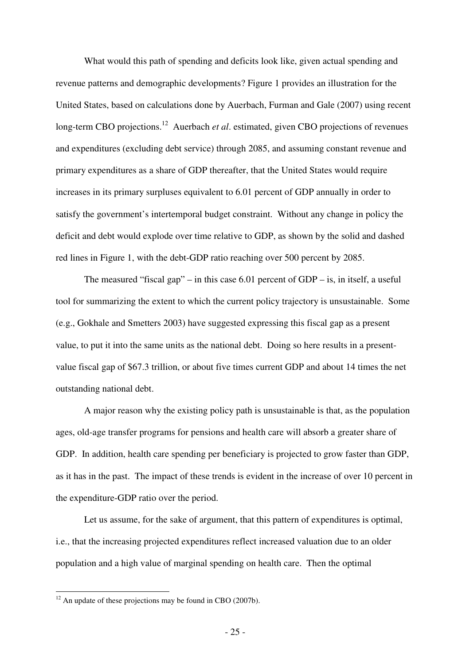What would this path of spending and deficits look like, given actual spending and revenue patterns and demographic developments? Figure 1 provides an illustration for the United States, based on calculations done by Auerbach, Furman and Gale (2007) using recent long-term CBO projections.<sup>12</sup> Auerbach *et al.* estimated, given CBO projections of revenues and expenditures (excluding debt service) through 2085, and assuming constant revenue and primary expenditures as a share of GDP thereafter, that the United States would require increases in its primary surpluses equivalent to 6.01 percent of GDP annually in order to satisfy the government's intertemporal budget constraint. Without any change in policy the deficit and debt would explode over time relative to GDP, as shown by the solid and dashed red lines in Figure 1, with the debt-GDP ratio reaching over 500 percent by 2085.

The measured "fiscal gap" – in this case  $6.01$  percent of GDP – is, in itself, a useful tool for summarizing the extent to which the current policy trajectory is unsustainable. Some (e.g., Gokhale and Smetters 2003) have suggested expressing this fiscal gap as a present value, to put it into the same units as the national debt. Doing so here results in a presentvalue fiscal gap of \$67.3 trillion, or about five times current GDP and about 14 times the net outstanding national debt.

 A major reason why the existing policy path is unsustainable is that, as the population ages, old-age transfer programs for pensions and health care will absorb a greater share of GDP. In addition, health care spending per beneficiary is projected to grow faster than GDP, as it has in the past. The impact of these trends is evident in the increase of over 10 percent in the expenditure-GDP ratio over the period.

 Let us assume, for the sake of argument, that this pattern of expenditures is optimal, i.e., that the increasing projected expenditures reflect increased valuation due to an older population and a high value of marginal spending on health care. Then the optimal

 $12$  An update of these projections may be found in CBO (2007b).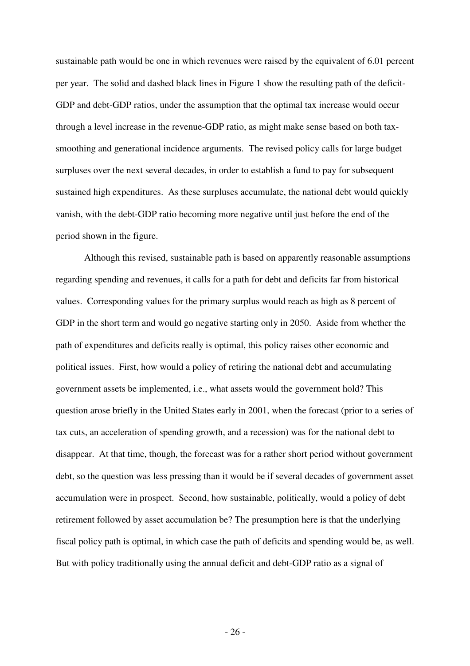sustainable path would be one in which revenues were raised by the equivalent of 6.01 percent per year. The solid and dashed black lines in Figure 1 show the resulting path of the deficit-GDP and debt-GDP ratios, under the assumption that the optimal tax increase would occur through a level increase in the revenue-GDP ratio, as might make sense based on both taxsmoothing and generational incidence arguments. The revised policy calls for large budget surpluses over the next several decades, in order to establish a fund to pay for subsequent sustained high expenditures. As these surpluses accumulate, the national debt would quickly vanish, with the debt-GDP ratio becoming more negative until just before the end of the period shown in the figure.

 Although this revised, sustainable path is based on apparently reasonable assumptions regarding spending and revenues, it calls for a path for debt and deficits far from historical values. Corresponding values for the primary surplus would reach as high as 8 percent of GDP in the short term and would go negative starting only in 2050. Aside from whether the path of expenditures and deficits really is optimal, this policy raises other economic and political issues. First, how would a policy of retiring the national debt and accumulating government assets be implemented, i.e., what assets would the government hold? This question arose briefly in the United States early in 2001, when the forecast (prior to a series of tax cuts, an acceleration of spending growth, and a recession) was for the national debt to disappear. At that time, though, the forecast was for a rather short period without government debt, so the question was less pressing than it would be if several decades of government asset accumulation were in prospect. Second, how sustainable, politically, would a policy of debt retirement followed by asset accumulation be? The presumption here is that the underlying fiscal policy path is optimal, in which case the path of deficits and spending would be, as well. But with policy traditionally using the annual deficit and debt-GDP ratio as a signal of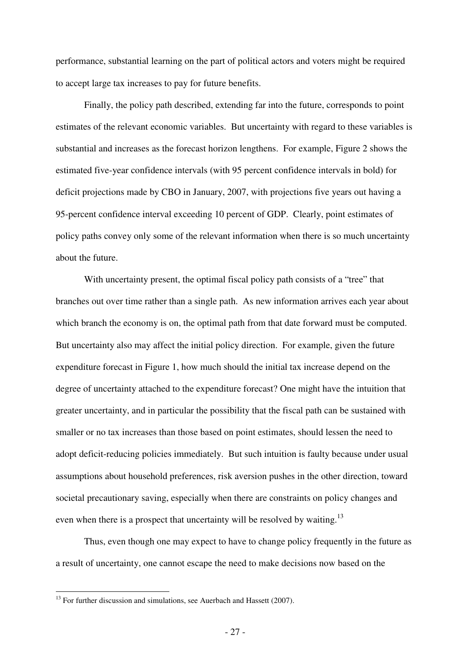performance, substantial learning on the part of political actors and voters might be required to accept large tax increases to pay for future benefits.

 Finally, the policy path described, extending far into the future, corresponds to point estimates of the relevant economic variables. But uncertainty with regard to these variables is substantial and increases as the forecast horizon lengthens. For example, Figure 2 shows the estimated five-year confidence intervals (with 95 percent confidence intervals in bold) for deficit projections made by CBO in January, 2007, with projections five years out having a 95-percent confidence interval exceeding 10 percent of GDP. Clearly, point estimates of policy paths convey only some of the relevant information when there is so much uncertainty about the future.

With uncertainty present, the optimal fiscal policy path consists of a "tree" that branches out over time rather than a single path. As new information arrives each year about which branch the economy is on, the optimal path from that date forward must be computed. But uncertainty also may affect the initial policy direction. For example, given the future expenditure forecast in Figure 1, how much should the initial tax increase depend on the degree of uncertainty attached to the expenditure forecast? One might have the intuition that greater uncertainty, and in particular the possibility that the fiscal path can be sustained with smaller or no tax increases than those based on point estimates, should lessen the need to adopt deficit-reducing policies immediately. But such intuition is faulty because under usual assumptions about household preferences, risk aversion pushes in the other direction, toward societal precautionary saving, especially when there are constraints on policy changes and even when there is a prospect that uncertainty will be resolved by waiting.<sup>13</sup>

 Thus, even though one may expect to have to change policy frequently in the future as a result of uncertainty, one cannot escape the need to make decisions now based on the

 $13$  For further discussion and simulations, see Auerbach and Hassett (2007).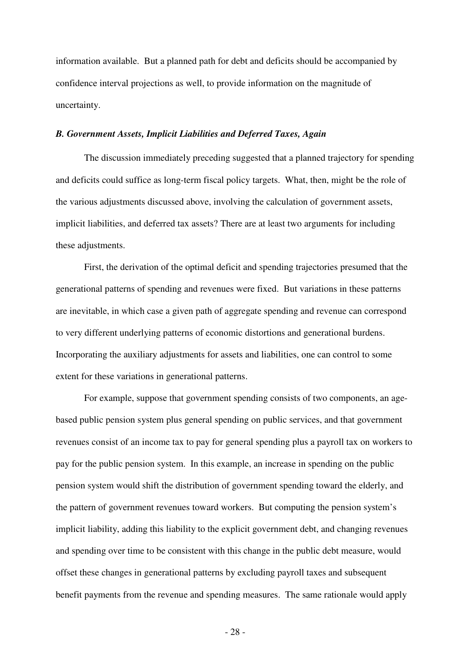information available. But a planned path for debt and deficits should be accompanied by confidence interval projections as well, to provide information on the magnitude of uncertainty.

# *B. Government Assets, Implicit Liabilities and Deferred Taxes, Again*

 The discussion immediately preceding suggested that a planned trajectory for spending and deficits could suffice as long-term fiscal policy targets. What, then, might be the role of the various adjustments discussed above, involving the calculation of government assets, implicit liabilities, and deferred tax assets? There are at least two arguments for including these adjustments.

 First, the derivation of the optimal deficit and spending trajectories presumed that the generational patterns of spending and revenues were fixed. But variations in these patterns are inevitable, in which case a given path of aggregate spending and revenue can correspond to very different underlying patterns of economic distortions and generational burdens. Incorporating the auxiliary adjustments for assets and liabilities, one can control to some extent for these variations in generational patterns.

 For example, suppose that government spending consists of two components, an agebased public pension system plus general spending on public services, and that government revenues consist of an income tax to pay for general spending plus a payroll tax on workers to pay for the public pension system. In this example, an increase in spending on the public pension system would shift the distribution of government spending toward the elderly, and the pattern of government revenues toward workers. But computing the pension system's implicit liability, adding this liability to the explicit government debt, and changing revenues and spending over time to be consistent with this change in the public debt measure, would offset these changes in generational patterns by excluding payroll taxes and subsequent benefit payments from the revenue and spending measures. The same rationale would apply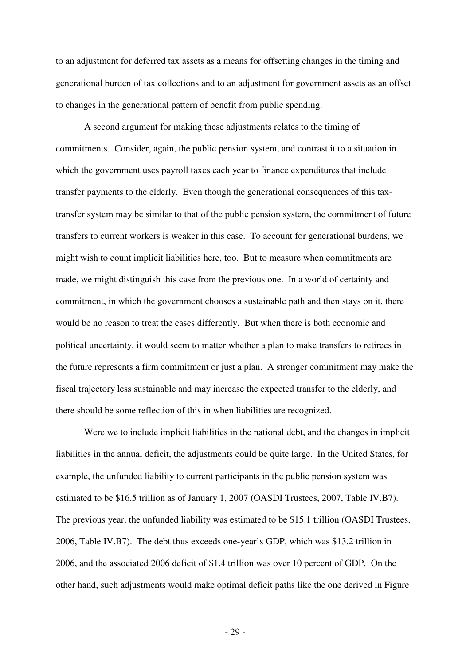to an adjustment for deferred tax assets as a means for offsetting changes in the timing and generational burden of tax collections and to an adjustment for government assets as an offset to changes in the generational pattern of benefit from public spending.

 A second argument for making these adjustments relates to the timing of commitments. Consider, again, the public pension system, and contrast it to a situation in which the government uses payroll taxes each year to finance expenditures that include transfer payments to the elderly. Even though the generational consequences of this taxtransfer system may be similar to that of the public pension system, the commitment of future transfers to current workers is weaker in this case. To account for generational burdens, we might wish to count implicit liabilities here, too. But to measure when commitments are made, we might distinguish this case from the previous one. In a world of certainty and commitment, in which the government chooses a sustainable path and then stays on it, there would be no reason to treat the cases differently. But when there is both economic and political uncertainty, it would seem to matter whether a plan to make transfers to retirees in the future represents a firm commitment or just a plan. A stronger commitment may make the fiscal trajectory less sustainable and may increase the expected transfer to the elderly, and there should be some reflection of this in when liabilities are recognized.

 Were we to include implicit liabilities in the national debt, and the changes in implicit liabilities in the annual deficit, the adjustments could be quite large. In the United States, for example, the unfunded liability to current participants in the public pension system was estimated to be \$16.5 trillion as of January 1, 2007 (OASDI Trustees, 2007, Table IV.B7). The previous year, the unfunded liability was estimated to be \$15.1 trillion (OASDI Trustees, 2006, Table IV.B7). The debt thus exceeds one-year's GDP, which was \$13.2 trillion in 2006, and the associated 2006 deficit of \$1.4 trillion was over 10 percent of GDP. On the other hand, such adjustments would make optimal deficit paths like the one derived in Figure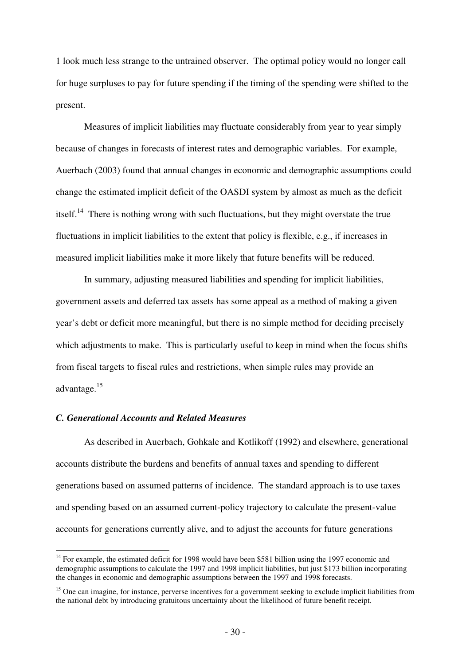1 look much less strange to the untrained observer. The optimal policy would no longer call for huge surpluses to pay for future spending if the timing of the spending were shifted to the present.

 Measures of implicit liabilities may fluctuate considerably from year to year simply because of changes in forecasts of interest rates and demographic variables. For example, Auerbach (2003) found that annual changes in economic and demographic assumptions could change the estimated implicit deficit of the OASDI system by almost as much as the deficit itself.<sup>14</sup> There is nothing wrong with such fluctuations, but they might overstate the true fluctuations in implicit liabilities to the extent that policy is flexible, e.g., if increases in measured implicit liabilities make it more likely that future benefits will be reduced.

 In summary, adjusting measured liabilities and spending for implicit liabilities, government assets and deferred tax assets has some appeal as a method of making a given year's debt or deficit more meaningful, but there is no simple method for deciding precisely which adjustments to make. This is particularly useful to keep in mind when the focus shifts from fiscal targets to fiscal rules and restrictions, when simple rules may provide an advantage.<sup>15</sup>

### *C. Generational Accounts and Related Measures*

 $\overline{a}$ 

 As described in Auerbach, Gohkale and Kotlikoff (1992) and elsewhere, generational accounts distribute the burdens and benefits of annual taxes and spending to different generations based on assumed patterns of incidence. The standard approach is to use taxes and spending based on an assumed current-policy trajectory to calculate the present-value accounts for generations currently alive, and to adjust the accounts for future generations

<sup>&</sup>lt;sup>14</sup> For example, the estimated deficit for 1998 would have been \$581 billion using the 1997 economic and demographic assumptions to calculate the 1997 and 1998 implicit liabilities, but just \$173 billion incorporating the changes in economic and demographic assumptions between the 1997 and 1998 forecasts.

<sup>&</sup>lt;sup>15</sup> One can imagine, for instance, perverse incentives for a government seeking to exclude implicit liabilities from the national debt by introducing gratuitous uncertainty about the likelihood of future benefit receipt.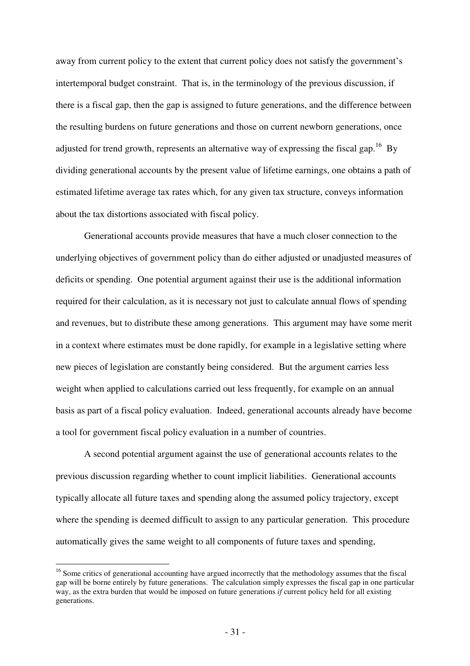away from current policy to the extent that current policy does not satisfy the government's intertemporal budget constraint. That is, in the terminology of the previous discussion, if there is a fiscal gap, then the gap is assigned to future generations, and the difference between the resulting burdens on future generations and those on current newborn generations, once adjusted for trend growth, represents an alternative way of expressing the fiscal gap.<sup>16</sup> By dividing generational accounts by the present value of lifetime earnings, one obtains a path of estimated lifetime average tax rates which, for any given tax structure, conveys information about the tax distortions associated with fiscal policy.

 Generational accounts provide measures that have a much closer connection to the underlying objectives of government policy than do either adjusted or unadjusted measures of deficits or spending. One potential argument against their use is the additional information required for their calculation, as it is necessary not just to calculate annual flows of spending and revenues, but to distribute these among generations. This argument may have some merit in a context where estimates must be done rapidly, for example in a legislative setting where new pieces of legislation are constantly being considered. But the argument carries less weight when applied to calculations carried out less frequently, for example on an annual basis as part of a fiscal policy evaluation. Indeed, generational accounts already have become a tool for government fiscal policy evaluation in a number of countries.

 A second potential argument against the use of generational accounts relates to the previous discussion regarding whether to count implicit liabilities. Generational accounts typically allocate all future taxes and spending along the assumed policy trajectory, except where the spending is deemed difficult to assign to any particular generation. This procedure automatically gives the same weight to all components of future taxes and spending,

<sup>&</sup>lt;sup>16</sup> Some critics of generational accounting have argued incorrectly that the methodology assumes that the fiscal gap will be borne entirely by future generations. The calculation simply expresses the fiscal gap in one particular way, as the extra burden that would be imposed on future generations *if* current policy held for all existing generations.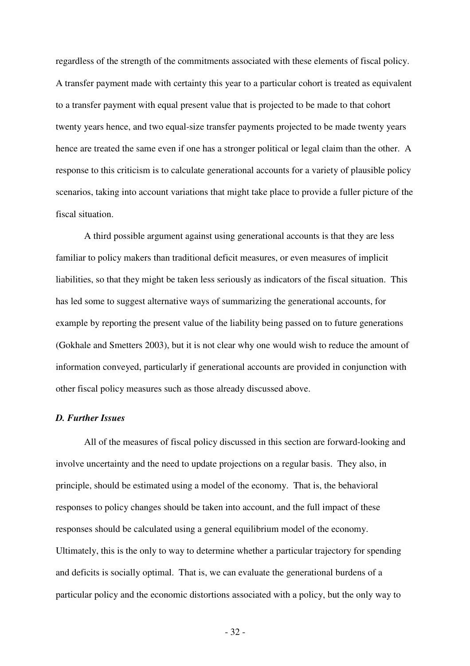regardless of the strength of the commitments associated with these elements of fiscal policy. A transfer payment made with certainty this year to a particular cohort is treated as equivalent to a transfer payment with equal present value that is projected to be made to that cohort twenty years hence, and two equal-size transfer payments projected to be made twenty years hence are treated the same even if one has a stronger political or legal claim than the other. A response to this criticism is to calculate generational accounts for a variety of plausible policy scenarios, taking into account variations that might take place to provide a fuller picture of the fiscal situation.

 A third possible argument against using generational accounts is that they are less familiar to policy makers than traditional deficit measures, or even measures of implicit liabilities, so that they might be taken less seriously as indicators of the fiscal situation. This has led some to suggest alternative ways of summarizing the generational accounts, for example by reporting the present value of the liability being passed on to future generations (Gokhale and Smetters 2003), but it is not clear why one would wish to reduce the amount of information conveyed, particularly if generational accounts are provided in conjunction with other fiscal policy measures such as those already discussed above.

### *D. Further Issues*

 All of the measures of fiscal policy discussed in this section are forward-looking and involve uncertainty and the need to update projections on a regular basis. They also, in principle, should be estimated using a model of the economy. That is, the behavioral responses to policy changes should be taken into account, and the full impact of these responses should be calculated using a general equilibrium model of the economy. Ultimately, this is the only to way to determine whether a particular trajectory for spending and deficits is socially optimal. That is, we can evaluate the generational burdens of a particular policy and the economic distortions associated with a policy, but the only way to

- 32 -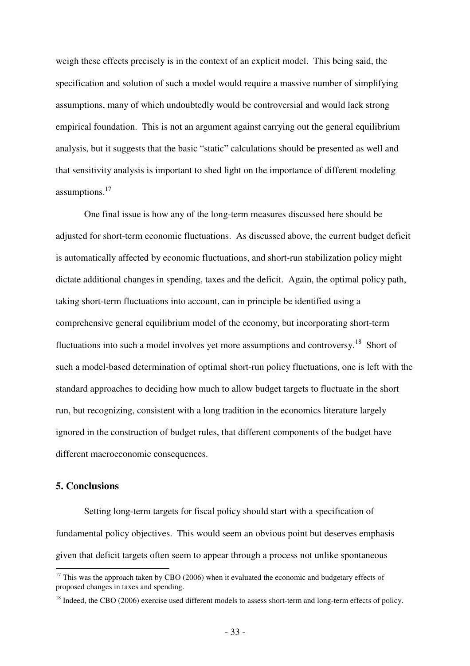weigh these effects precisely is in the context of an explicit model. This being said, the specification and solution of such a model would require a massive number of simplifying assumptions, many of which undoubtedly would be controversial and would lack strong empirical foundation. This is not an argument against carrying out the general equilibrium analysis, but it suggests that the basic "static" calculations should be presented as well and that sensitivity analysis is important to shed light on the importance of different modeling assumptions.<sup>17</sup>

 One final issue is how any of the long-term measures discussed here should be adjusted for short-term economic fluctuations. As discussed above, the current budget deficit is automatically affected by economic fluctuations, and short-run stabilization policy might dictate additional changes in spending, taxes and the deficit. Again, the optimal policy path, taking short-term fluctuations into account, can in principle be identified using a comprehensive general equilibrium model of the economy, but incorporating short-term fluctuations into such a model involves yet more assumptions and controversy.<sup>18</sup> Short of such a model-based determination of optimal short-run policy fluctuations, one is left with the standard approaches to deciding how much to allow budget targets to fluctuate in the short run, but recognizing, consistent with a long tradition in the economics literature largely ignored in the construction of budget rules, that different components of the budget have different macroeconomic consequences.

## **5. Conclusions**

 $\overline{a}$ 

 Setting long-term targets for fiscal policy should start with a specification of fundamental policy objectives. This would seem an obvious point but deserves emphasis given that deficit targets often seem to appear through a process not unlike spontaneous

 $17$  This was the approach taken by CBO (2006) when it evaluated the economic and budgetary effects of proposed changes in taxes and spending.

<sup>&</sup>lt;sup>18</sup> Indeed, the CBO (2006) exercise used different models to assess short-term and long-term effects of policy.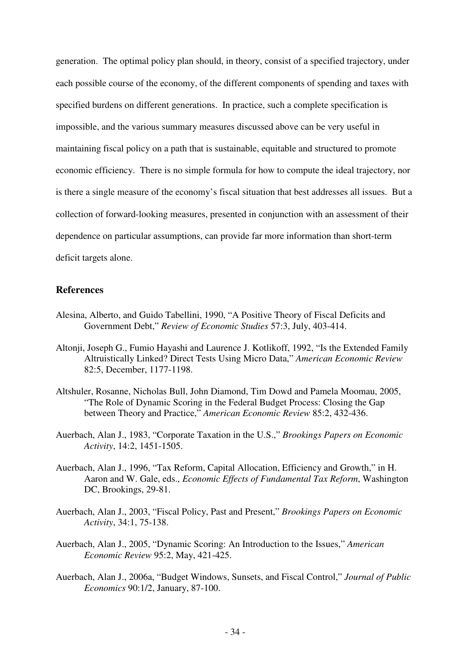generation. The optimal policy plan should, in theory, consist of a specified trajectory, under each possible course of the economy, of the different components of spending and taxes with specified burdens on different generations. In practice, such a complete specification is impossible, and the various summary measures discussed above can be very useful in maintaining fiscal policy on a path that is sustainable, equitable and structured to promote economic efficiency. There is no simple formula for how to compute the ideal trajectory, nor is there a single measure of the economy's fiscal situation that best addresses all issues. But a collection of forward-looking measures, presented in conjunction with an assessment of their dependence on particular assumptions, can provide far more information than short-term deficit targets alone.

# **References**

- Alesina, Alberto, and Guido Tabellini, 1990, "A Positive Theory of Fiscal Deficits and Government Debt," *Review of Economic Studies* 57:3, July, 403-414.
- Altonji, Joseph G., Fumio Hayashi and Laurence J. Kotlikoff, 1992, "Is the Extended Family Altruistically Linked? Direct Tests Using Micro Data," *American Economic Review* 82:5, December, 1177-1198.
- Altshuler, Rosanne, Nicholas Bull, John Diamond, Tim Dowd and Pamela Moomau, 2005, "The Role of Dynamic Scoring in the Federal Budget Process: Closing the Gap between Theory and Practice," *American Economic Review* 85:2, 432-436.
- Auerbach, Alan J., 1983, "Corporate Taxation in the U.S.," *Brookings Papers on Economic Activity*, 14:2, 1451-1505.
- Auerbach, Alan J., 1996, "Tax Reform, Capital Allocation, Efficiency and Growth," in H. Aaron and W. Gale, eds., *Economic Effects of Fundamental Tax Reform*, Washington DC, Brookings, 29-81.
- Auerbach, Alan J., 2003, "Fiscal Policy, Past and Present," *Brookings Papers on Economic Activity*, 34:1, 75-138.
- Auerbach, Alan J., 2005, "Dynamic Scoring: An Introduction to the Issues," *American Economic Review* 95:2, May, 421-425.
- Auerbach, Alan J., 2006a, "Budget Windows, Sunsets, and Fiscal Control," *Journal of Public Economics* 90:1/2, January, 87-100.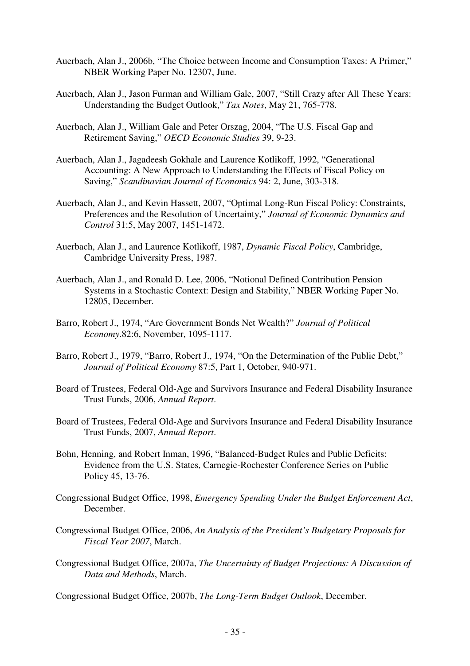- Auerbach, Alan J., 2006b, "The Choice between Income and Consumption Taxes: A Primer," NBER Working Paper No. 12307, June.
- Auerbach, Alan J., Jason Furman and William Gale, 2007, "Still Crazy after All These Years: Understanding the Budget Outlook," *Tax Notes*, May 21, 765-778.
- Auerbach, Alan J., William Gale and Peter Orszag, 2004, "The U.S. Fiscal Gap and Retirement Saving," *OECD Economic Studies* 39, 9-23.
- Auerbach, Alan J., Jagadeesh Gokhale and Laurence Kotlikoff, 1992, "Generational Accounting: A New Approach to Understanding the Effects of Fiscal Policy on Saving," *Scandinavian Journal of Economics* 94: 2, June, 303-318.
- Auerbach, Alan J., and Kevin Hassett, 2007, "Optimal Long-Run Fiscal Policy: Constraints, Preferences and the Resolution of Uncertainty," *Journal of Economic Dynamics and Control* 31:5, May 2007, 1451-1472.
- Auerbach, Alan J., and Laurence Kotlikoff, 1987, *Dynamic Fiscal Policy*, Cambridge, Cambridge University Press, 1987.
- Auerbach, Alan J., and Ronald D. Lee, 2006, "Notional Defined Contribution Pension Systems in a Stochastic Context: Design and Stability," NBER Working Paper No. 12805, December.
- Barro, Robert J., 1974, "Are Government Bonds Net Wealth?" *Journal of Political Economy*.82:6, November, 1095-1117.
- Barro, Robert J., 1979, "Barro, Robert J., 1974, "On the Determination of the Public Debt," *Journal of Political Economy* 87:5, Part 1, October, 940-971.
- Board of Trustees, Federal Old-Age and Survivors Insurance and Federal Disability Insurance Trust Funds, 2006, *Annual Report*.
- Board of Trustees, Federal Old-Age and Survivors Insurance and Federal Disability Insurance Trust Funds, 2007, *Annual Report*.
- Bohn, Henning, and Robert Inman, 1996, "Balanced-Budget Rules and Public Deficits: Evidence from the U.S. States, Carnegie-Rochester Conference Series on Public Policy 45, 13-76.
- Congressional Budget Office, 1998, *Emergency Spending Under the Budget Enforcement Act*, December.
- Congressional Budget Office, 2006, *An Analysis of the President's Budgetary Proposals for Fiscal Year 2007*, March.
- Congressional Budget Office, 2007a, *The Uncertainty of Budget Projections: A Discussion of Data and Methods*, March.

Congressional Budget Office, 2007b, *The Long-Term Budget Outlook*, December.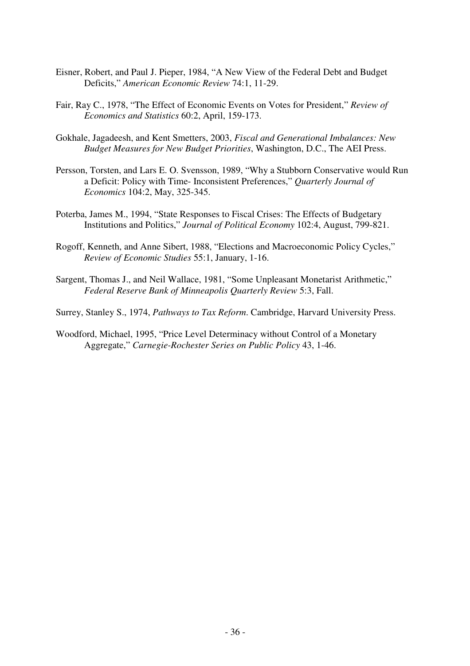- Eisner, Robert, and Paul J. Pieper, 1984, "A New View of the Federal Debt and Budget Deficits," *American Economic Review* 74:1, 11-29.
- Fair, Ray C., 1978, "The Effect of Economic Events on Votes for President," *Review of Economics and Statistics* 60:2, April, 159-173.
- Gokhale, Jagadeesh, and Kent Smetters, 2003, *Fiscal and Generational Imbalances: New Budget Measures for New Budget Priorities*, Washington, D.C., The AEI Press.
- Persson, Torsten, and Lars E. O. Svensson, 1989, "Why a Stubborn Conservative would Run a Deficit: Policy with Time- Inconsistent Preferences," *Quarterly Journal of Economics* 104:2, May, 325-345.
- Poterba, James M., 1994, "State Responses to Fiscal Crises: The Effects of Budgetary Institutions and Politics," *Journal of Political Economy* 102:4, August, 799-821.
- Rogoff, Kenneth, and Anne Sibert, 1988, "Elections and Macroeconomic Policy Cycles," *Review of Economic Studies* 55:1, January, 1-16.
- Sargent, Thomas J., and Neil Wallace, 1981, "Some Unpleasant Monetarist Arithmetic," *Federal Reserve Bank of Minneapolis Quarterly Review* 5:3, Fall.
- Surrey, Stanley S., 1974, *Pathways to Tax Reform*. Cambridge, Harvard University Press.
- Woodford, Michael, 1995, "Price Level Determinacy without Control of a Monetary Aggregate," *Carnegie-Rochester Series on Public Policy* 43, 1-46.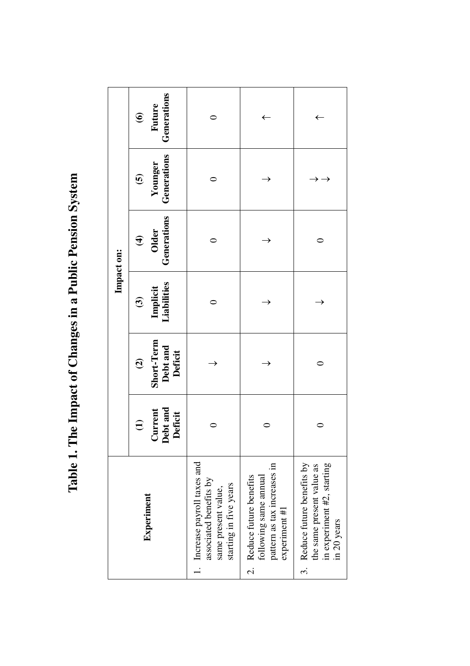Table 1. The Impact of Changes in a Public Pension System **Table 1. The Impact of Changes in a Public Pension System** 

| Impact on: | Generations<br>Future<br>$\widehat{\mathbf{e}}$    |                                                                                                          |                                                                                                                             |                                                                                                        |
|------------|----------------------------------------------------|----------------------------------------------------------------------------------------------------------|-----------------------------------------------------------------------------------------------------------------------------|--------------------------------------------------------------------------------------------------------|
|            | Generations<br>Younger<br>$\widehat{\mathbf{e}}$   |                                                                                                          |                                                                                                                             |                                                                                                        |
|            | Generations<br>Older<br>$\widehat{\mathbf{t}}$     |                                                                                                          |                                                                                                                             |                                                                                                        |
|            | Liabilities<br>Implicit<br>$\widehat{\mathcal{C}}$ |                                                                                                          |                                                                                                                             |                                                                                                        |
|            | Short-Term<br>Debt and<br>Deficit<br>$\widehat{c}$ |                                                                                                          |                                                                                                                             |                                                                                                        |
|            | Debt and<br>Current<br>Deficit<br>$\widehat{\Xi}$  |                                                                                                          |                                                                                                                             |                                                                                                        |
| Experiment |                                                    | 1. Increase payroll taxes and<br>associated benefits by<br>starting in five years<br>same present value, | pattern as tax increases in<br>Reduce future benefits<br>following same annual<br>experiment #1<br>$\overline{\mathcal{N}}$ | in experiment #2, starting<br>3. Reduce future benefits by<br>the same present value as<br>in 20 years |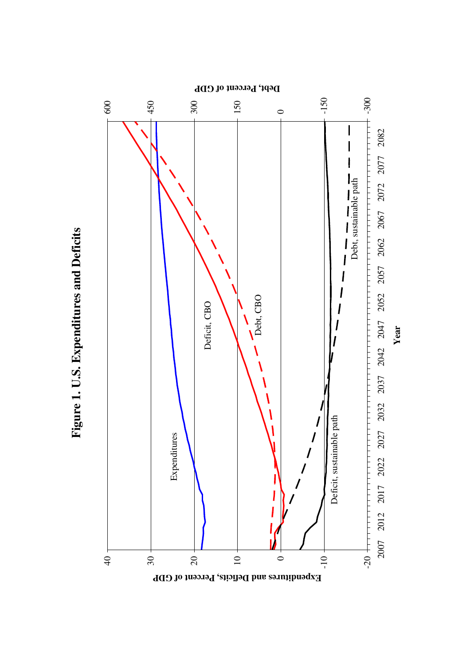

Figure 1. U.S. Expenditures and Deficits **Figure 1. U.S. Expenditures and Deficits**

**Year**